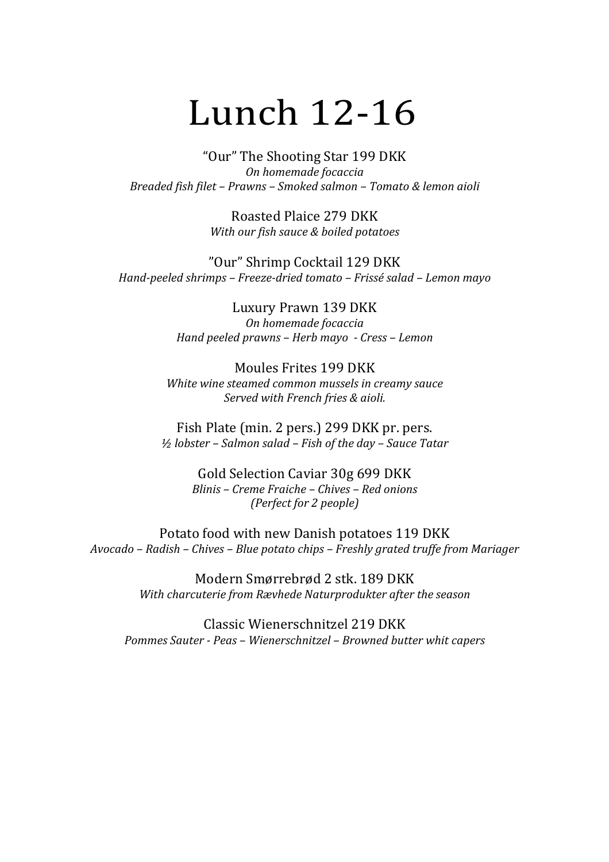## Lunch 12-16

"Our" The Shooting Star 199 DKK *On homemade focaccia Breaded fish filet – Prawns – Smoked salmon – Tomato & lemon aioli*

> Roasted Plaice 279 DKK *With our fish sauce & boiled potatoes*

"Our" Shrimp Cocktail 129 DKK *Hand-peeled shrimps – Freeze-dried tomato – Frissé salad – Lemon mayo*

> Luxury Prawn 139 DKK *On homemade focaccia Hand peeled prawns – Herb mayo - Cress – Lemon*

Moules Frites 199 DKK White wine steamed common mussels in creamy sauce *Served with French fries & aioli.*

Fish Plate (min. 2 pers.) 299 DKK pr. pers. *½ lobster – Salmon salad – Fish of the day – Sauce Tatar*

> Gold Selection Caviar 30g 699 DKK *Blinis – Creme Fraiche – Chives – Red onions (Perfect for 2 people)*

Potato food with new Danish potatoes 119 DKK *Avocado – Radish – Chives – Blue potato chips – Freshly grated truffe from Mariager*

> Modern Smørrebrød 2 stk. 189 DKK *With charcuterie from Rævhede Naturprodukter after the season*

Classic Wienerschnitzel 219 DKK *Pommes Sauter - Peas – Wienerschnitzel – Browned butter whit capers*